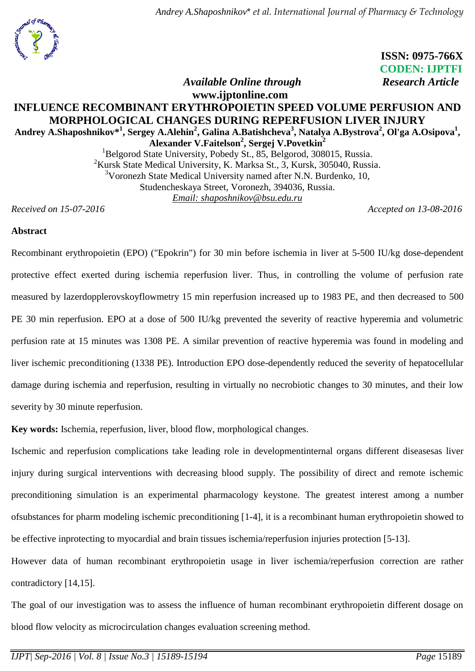

 **ISSN: 0975-766X CODEN: IJPTFI**

# *Available Online through* Research Article

## **www.ijptonline.com INFLUENCE RECOMBINANT ERYTHROPOIETIN SPEED VOLUME PERFUSION AND MORPHOLOGICAL CHANGES DURING REPERFUSION LIVER INJURY Andrey A.Shaposhnikov\* 1 , Sergey A.Alehin<sup>2</sup> , Galina A.Batishcheva<sup>3</sup> , Natalya A.Bystrova<sup>2</sup> , Ol'ga A.Osipova<sup>1</sup> ,**

**Alexander V.Faitelson<sup>2</sup> , Sergej V.Povetkin<sup>2</sup>**

<sup>1</sup>Belgorod State University, Pobedy St., 85, Belgorod, 308015, Russia. <sup>2</sup>Kursk State Medical University, K. Marksa St., 3, Kursk, 305040, Russia. <sup>3</sup>Voronezh State Medical University named after N.N. Burdenko, 10, Studencheskaya Street, Voronezh, 394036, Russia. *Email: shaposhnikov@bsu.edu.ru*

*Received on 15-07-2016 Accepted on 13-08-2016*

### **Abstract**

Recombinant erythropoietin (EPO) ("Epokrin") for 30 min before ischemia in liver at 5-500 IU/kg dose-dependent protective effect exerted during ischemia reperfusion liver. Thus, in controlling the volume of perfusion rate measured by lazerdopplerovskoyflowmetry 15 min reperfusion increased up to 1983 PE, and then decreased to 500 PE 30 min reperfusion. EPO at a dose of 500 IU/kg prevented the severity of reactive hyperemia and volumetric perfusion rate at 15 minutes was 1308 PE. A similar prevention of reactive hyperemia was found in modeling and liver ischemic preconditioning (1338 PE). Introduction EPO dose-dependently reduced the severity of hepatocellular damage during ischemia and reperfusion, resulting in virtually no necrobiotic changes to 30 minutes, and their low severity by 30 minute reperfusion.

**Key words:** Ischemia, reperfusion, liver, blood flow, morphological changes.

Ischemic and reperfusion complications take leading role in developmentinternal organs different diseasesas liver injury during surgical interventions with decreasing blood supply. The possibility of direct and remote ischemic preconditioning simulation is an experimental pharmacology keystone. The greatest interest among a number ofsubstances for pharm modeling ischemic preconditioning [1-4], it is a recombinant human erythropoietin showed to be effective inprotecting to myocardial and brain tissues ischemia/reperfusion injuries protection [5-13].

However data of human recombinant erythropoietin usage in liver ischemia/reperfusion correction are rather contradictory [14,15].

The goal of our investigation was to assess the influence of human recombinant erythropoietin different dosage on blood flow velocity as microcirculation changes evaluation screening method.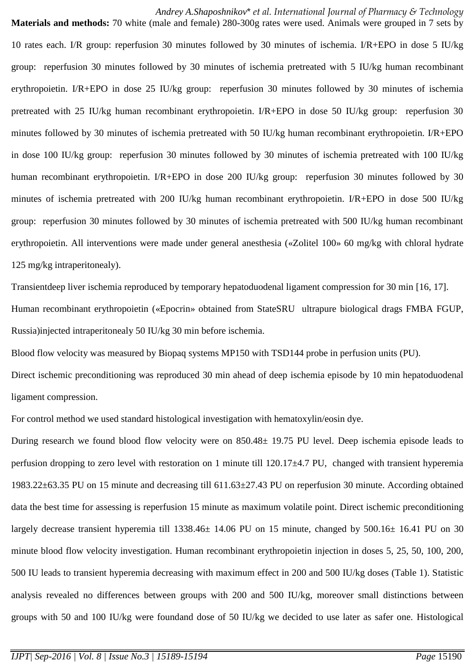*Andrey A.Shaposhnikov*\* *et al. International Journal of Pharmacy & Technology* **Materials and methods:** 70 white (male and female) 280-300g rates were used. Animals were grouped in 7 sets by

10 rates each. I/R group: reperfusion 30 minutes followed by 30 minutes of ischemia. I/R+EPO in dose 5 IU/kg group: reperfusion 30 minutes followed by 30 minutes of ischemia pretreated with 5 IU/kg human recombinant erythropoietin. I/R+EPO in dose 25 IU/kg group: reperfusion 30 minutes followed by 30 minutes of ischemia pretreated with 25 IU/kg human recombinant erythropoietin. I/R+EPO in dose 50 IU/kg group: reperfusion 30 minutes followed by 30 minutes of ischemia pretreated with 50 IU/kg human recombinant erythropoietin. I/R+EPO in dose 100 IU/kg group: reperfusion 30 minutes followed by 30 minutes of ischemia pretreated with 100 IU/kg human recombinant erythropoietin. I/R+EPO in dose 200 IU/kg group: reperfusion 30 minutes followed by 30 minutes of ischemia pretreated with 200 IU/kg human recombinant erythropoietin. I/R+EPO in dose 500 IU/kg group: reperfusion 30 minutes followed by 30 minutes of ischemia pretreated with 500 IU/kg human recombinant erythropoietin. All interventions were made under general anesthesia («Zolitel 100» 60 mg/kg with chloral hydrate 125 mg/kg intraperitonealy).

Transientdeep liver ischemia reproduced by temporary hepatoduodenal ligament compression for 30 min [16, 17]. Human recombinant erythropoietin («Epocrin» obtained from StateSRU ultrapure biological drags FMBA FGUP, Russia)injected intraperitonealy 50 IU/kg 30 min before ischemia.

Blood flow velocity was measured by Biopaq systems MP150 with TSD144 probe in perfusion units (PU).

Direct ischemic preconditioning was reproduced 30 min ahead of deep ischemia episode by 10 min hepatoduodenal ligament compression.

For control method we used standard histological investigation with hematoxylin/eosin dye.

During research we found blood flow velocity were on 850.48± 19.75 PU level. Deep ischemia episode leads to perfusion dropping to zero level with restoration on 1 minute till 120.17±4.7 PU, changed with transient hyperemia 1983.22±63.35 PU on 15 minute and decreasing till 611.63±27.43 PU on reperfusion 30 minute. According obtained data the best time for assessing is reperfusion 15 minute as maximum volatile point. Direct ischemic preconditioning largely decrease transient hyperemia till 1338.46± 14.06 PU on 15 minute, changed by 500.16± 16.41 PU on 30 minute blood flow velocity investigation. Human recombinant erythropoietin injection in doses 5, 25, 50, 100, 200, 500 IU leads to transient hyperemia decreasing with maximum effect in 200 and 500 IU/kg doses (Table 1). Statistic analysis revealed no differences between groups with 200 and 500 IU/kg, moreover small distinctions between groups with 50 and 100 IU/kg were foundand dose of 50 IU/kg we decided to use later as safer one. Histological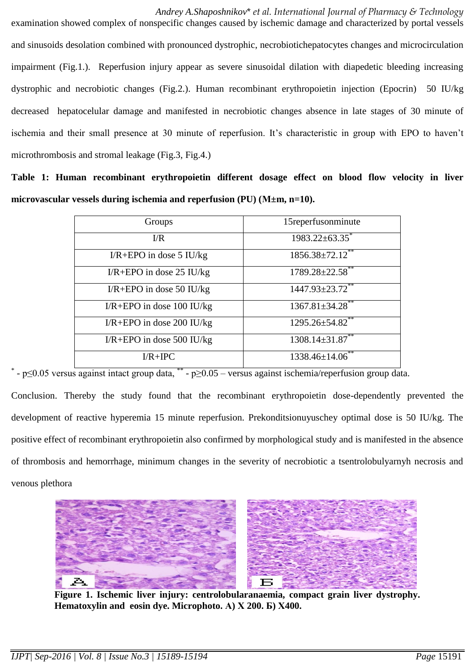*Andrey A.Shaposhnikov*\* *et al. International Journal of Pharmacy & Technology* examination showed complex of nonspecific changes caused by ischemic damage and characterized by portal vessels and sinusoids desolation combined with pronounced dystrophic, necrobiotichepatocytes changes and microcirculation impairment (Fig.1.). Reperfusion injury appear as severe sinusoidal dilation with diapedetic bleeding increasing dystrophic and necrobiotic changes (Fig.2.). Human recombinant erythropoietin injection (Epocrin) 50 IU/kg decreased hepatocelular damage and manifested in necrobiotic changes absence in late stages of 30 minute of ischemia and their small presence at 30 minute of reperfusion. It's characteristic in group with EPO to haven't microthrombosis and stromal leakage (Fig.3, Fig.4.)

**Table 1: Human recombinant erythropoietin different dosage effect on blood flow velocity in liver microvascular vessels during ischemia and reperfusion (PU) (М±m, n=10).**

| Groups                        | 15reperfusonminute     |
|-------------------------------|------------------------|
| $\overline{l/R}$              | $1983.22 \pm 63.35$ *  |
| $I/R + EPO$ in dose 5 IU/kg   | $1856.38 \pm 72.12$ ** |
| $I/R + EPO$ in dose 25 IU/kg  | $1789.28 \pm 22.58$ ** |
| $I/R + EPO$ in dose 50 IU/kg  | $1447.93 \pm 23.72$ ** |
| $I/R + EPO$ in dose 100 IU/kg | $1367.81 \pm 34.28$ ** |
| $I/R + EPO$ in dose 200 IU/kg | $1295.26 \pm 54.82$ ** |
| $I/R + EPO$ in dose 500 IU/kg | $1308.14 \pm 31.87$ ** |
| $\text{I/R} + \text{IPC}$     | $1338.46\pm14.06$ **   |

\* - p≤0.05 versus against intact group data, \*\* - р≥0.05 – versus against ischemia/reperfusion group data.

Conclusion. Thereby the study found that the recombinant erythropoietin dose-dependently prevented the development of reactive hyperemia 15 minute reperfusion. Prekonditsionuyuschey optimal dose is 50 IU/kg. The positive effect of recombinant erythropoietin also confirmed by morphological study and is manifested in the absence of thrombosis and hemorrhage, minimum changes in the severity of necrobiotic a tsentrolobulyarnyh necrosis and venous plethora



**Figure 1. Ischemic liver injury: centrolobularanaemia, compact grain liver dystrophy. Hematoxylin and eosin dye. Microphoto. А) Х 200. Б) Х400.**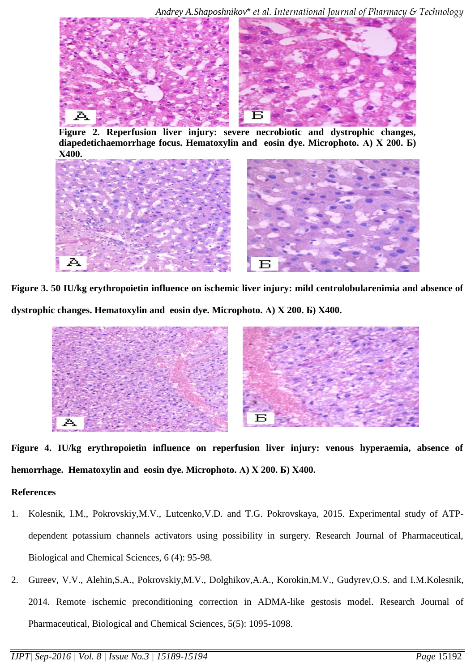*Andrey A.Shaposhnikov*\* *et al. International Journal of Pharmacy & Technology*



**Figure 2. Reperfusion liver injury: severe necrobiotic and dystrophic changes, diapedetichaemorrhage focus. Hematoxylin and eosin dye. Microphoto. А) Х 200. Б) Х400.**



**Figure 3. 50 IU/kg erythropoietin influence on ischemic liver injury: mild centrolobularenimia and absence of dystrophic changes. Hematoxylin and eosin dye. Microphoto. А) Х 200. Б) Х400.**



**Figure 4. IU/kg erythropoietin influence on reperfusion liver injury: venous hyperaemia, absence of hemorrhage. Hematoxylin and eosin dye. Microphoto. А) Х 200. Б) Х400.**

## **References**

- 1. Kolesnik, I.M., Pokrovskiy,M.V., Lutcenko,V.D. and T.G. Pokrovskaya, 2015. Experimental study of ATPdependent potassium channels activators using possibility in surgery. Research Journal of Pharmaceutical, Biological and Chemical Sciences, 6 (4): 95-98.
- 2. Gureev, V.V., Alehin,S.A., Pokrovskiy,M.V., Dolghikov,A.A., Korokin,M.V., Gudyrev,O.S. and I.M.Kolesnik, 2014. Remote ischemic preconditioning correction in ADMA-like gestosis model. Research Journal of Pharmaceutical, Biological and Chemical Sciences, 5(5): 1095-1098.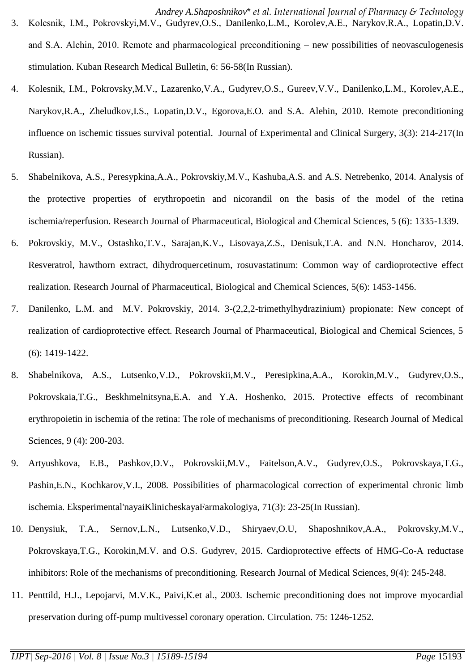stimulation. Kuban Research Medical Bulletin, 6: 56-58(In Russian).

- 4. Kolesnik, I.M., Pokrovsky,M.V., Lazarenko,V.A., Gudyrev,O.S., Gureev,V.V., Danilenko,L.M., Korolev,A.E., Narykov,R.A., Zheludkov,I.S., Lopatin,D.V., Egorova,E.O. and S.A. Alehin, 2010. Remote preconditioning influence on ischemic tissues survival potential. Journal of Experimental and Clinical Surgery, 3(3): 214-217(In Russian).
- 5. Shabelnikova, A.S., Peresypkina,A.A., Pokrovskiy,M.V., Kashuba,A.S. and A.S. Netrebenko, 2014. Analysis of the protective properties of erythropoetin and nicorandil on the basis of the model of the retina ischemia/reperfusion. Research Journal of Pharmaceutical, Biological and Chemical Sciences, 5 (6): 1335-1339.
- 6. Pokrovskiy, M.V., Ostashko,T.V., Sarajan,K.V., Lisovaya,Z.S., Denisuk,T.A. and N.N. Honcharov, 2014. Resveratrol, hawthorn extract, dihydroquercetinum, rosuvastatinum: Common way of cardioprotective effect realization. Research Journal of Pharmaceutical, Biological and Chemical Sciences, 5(6): 1453-1456.
- 7. Danilenko, L.M. and M.V. Pokrovskiy, 2014. 3-(2,2,2-trimethylhydrazinium) propionate: New concept of realization of cardioprotective effect. Research Journal of Pharmaceutical, Biological and Chemical Sciences, 5 (6): 1419-1422.
- 8. Shabelnikova, A.S., Lutsenko,V.D., Pokrovskii,M.V., Peresipkina,A.A., Korokin,M.V., Gudyrev,O.S., Pokrovskaia,T.G., Beskhmelnitsyna,E.A. and Y.A. Hoshenko, 2015. Protective effects of recombinant erythropoietin in ischemia of the retina: The role of mechanisms of preconditioning. Research Journal of Medical Sciences, 9 (4): 200-203.
- 9. Artyushkova, E.B., Pashkov,D.V., Pokrovskii,M.V., Faitelson,A.V., Gudyrev,O.S., Pokrovskaya,T.G., Pashin,E.N., Kochkarov,V.I., 2008. Possibilities of pharmacological correction of experimental chronic limb ischemia. Eksperimental'nayaiKlinicheskayaFarmakologiya, 71(3): 23-25(In Russian).
- 10. Denysiuk, T.A., Sernov,L.N., Lutsenko,V.D., Shiryaev,O.U, Shaposhnikov,A.A., Pokrovsky,M.V., Pokrovskaya,T.G., Korokin,M.V. and O.S. Gudyrev, 2015. Cardioprotective effects of HMG-Co-A reductase inhibitors: Role of the mechanisms of preconditioning. Research Journal of Medical Sciences, 9(4): 245-248.
- 11. Penttild, H.J., Lepojarvi, M.V.K., Paivi,К.et al., 2003. Ischemic preconditioning does not improve myocardial preservation during off-pump multivessel coronary operation. Circulation. 75: 1246-1252.